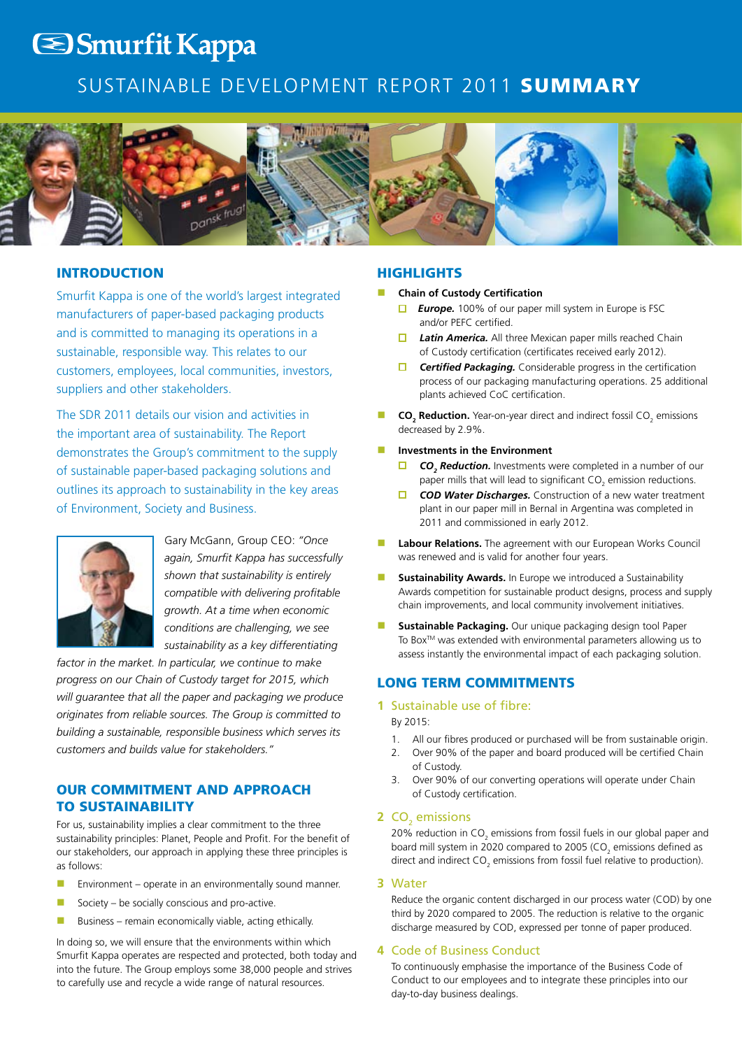# **S**Smurfit Kappa

## Sustainable Development Report 2011 Summary



## **INTRODUCTION**

Smurfit Kappa is one of the world's largest integrated manufacturers of paper-based packaging products and is committed to managing its operations in a sustainable, responsible way. This relates to our customers, employees, local communities, investors, suppliers and other stakeholders.

The SDR 2011 details our vision and activities in the important area of sustainability. The Report demonstrates the Group's commitment to the supply of sustainable paper-based packaging solutions and outlines its approach to sustainability in the key areas of Environment, Society and Business.



Gary McGann, Group CEO: *"Once again, Smurfit Kappa has successfully shown that sustainability is entirely compatible with delivering profitable growth. At a time when economic conditions are challenging, we see sustainability as a key differentiating* 

*factor in the market. In particular, we continue to make progress on our Chain of Custody target for 2015, which will guarantee that all the paper and packaging we produce originates from reliable sources. The Group is committed to building a sustainable, responsible business which serves its customers and builds value for stakeholders."*

## Our commitment and approach to sustainability

For us, sustainability implies a clear commitment to the three sustainability principles: Planet, People and Profit. For the benefit of our stakeholders, our approach in applying these three principles is as follows:

- **n** Environment operate in an environmentally sound manner.
- $\blacksquare$  Society be socially conscious and pro-active.
- Business remain economically viable, acting ethically.

In doing so, we will ensure that the environments within which Smurfit Kappa operates are respected and protected, both today and into the future. The Group employs some 38,000 people and strives to carefully use and recycle a wide range of natural resources.

#### **HIGHLIGHTS**

- **Chain of Custody Certification** 
	- $\Box$ *Europe.* 100% of our paper mill system in Europe is FSC and/or PEFC certified.
	- n. *Latin America.* All three Mexican paper mills reached Chain of Custody certification (certificates received early 2012).
	- $\Box$ *Certified Packaging.* Considerable progress in the certification process of our packaging manufacturing operations. 25 additional plants achieved CoC certification.
- **CO<sub>2</sub> Reduction.** Year-on-year direct and indirect fossil CO<sub>2</sub> emissions decreased by 2.9%.
- n **Investments in the Environment**
	- *CO2 Reduction.* Investments were completed in a number of our paper mills that will lead to significant  $CO_2$  emission reductions.
	- n. *COD Water Discharges.* Construction of a new water treatment plant in our paper mill in Bernal in Argentina was completed in 2011 and commissioned in early 2012.
- Labour Relations. The agreement with our European Works Council was renewed and is valid for another four years.
- **n** Sustainability Awards. In Europe we introduced a Sustainability Awards competition for sustainable product designs, process and supply chain improvements, and local community involvement initiatives.
- **Sustainable Packaging.** Our unique packaging design tool Paper To Box<sup>™</sup> was extended with environmental parameters allowing us to assess instantly the environmental impact of each packaging solution.

## Long term commitments

### **1** Sustainable use of fibre:

By 2015:

- 1. All our fibres produced or purchased will be from sustainable origin.
- 2. Over 90% of the paper and board produced will be certified Chain of Custody.
- 3. Over 90% of our converting operations will operate under Chain of Custody certification.

## **2** CO<sub>2</sub> emissions

20% reduction in  $CO_2$  emissions from fossil fuels in our global paper and board mill system in 2020 compared to 2005 (CO<sub>2</sub> emissions defined as direct and indirect  $CO_2$  emissions from fossil fuel relative to production).

**3** Water

Reduce the organic content discharged in our process water (COD) by one third by 2020 compared to 2005. The reduction is relative to the organic discharge measured by COD, expressed per tonne of paper produced.

#### **4** Code of Business Conduct

 To continuously emphasise the importance of the Business Code of Conduct to our employees and to integrate these principles into our day-to-day business dealings.